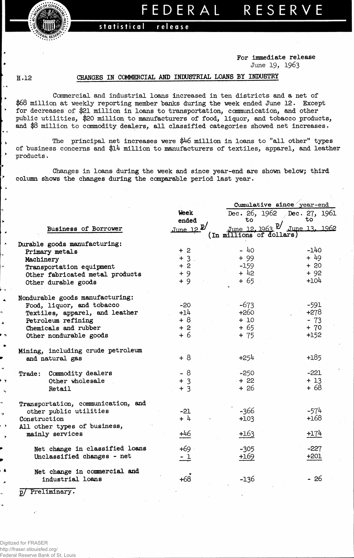**statistical release**

**For immediate release June 19, 1963**

**FEDERA L RESERV E**

## **H.12**

 $\ddot{\phantom{0}}$ 

∣ ≽  $\rightarrow$ 

۱.

∤→  $\blacktriangleright$ 

 $\lambda$ 

*W* 

*f\*AL* **RB^.**

## **CHANGES IN COMMERCIAL AMD INDUSTRIAL LOMS BY INDUSTRY**

**Commercial and industrial loans increased in ten districts and a net of \$68 million at weekly reporting member "banks during the week ended June 12. Except for decreases of \$21 million in loans to transportation, communication, and other public utilities, \$20 million to manufacturers of food, liquor, and tobacco products, and \$8 million to commodity dealers, all classified categories showed net increases.**

**The principal net increases were \$46 million in loans to "all other" types of "business concerns and \$l4 million to manufacturers of textiles, apparel, and leather products.** 

**Changes in loans during the week and since year-end are shown below; third column shows the changes during the comparable period last year.**

|                                                      |                | Cumulative since year-end                                      |                        |  |  |  |  |  |
|------------------------------------------------------|----------------|----------------------------------------------------------------|------------------------|--|--|--|--|--|
|                                                      | <b>Week</b>    | Dec. 26, 1962                                                  | Dec. 27, 1961          |  |  |  |  |  |
|                                                      | ended          | to                                                             | $\overline{\text{to}}$ |  |  |  |  |  |
| Business of Borrower                                 | June 12        | <u>June 12, 1963 <sup>p</sup>/</u><br>(In millions of dollars) | June 13, 1962          |  |  |  |  |  |
| Durable goods manufacturing:                         |                |                                                                |                        |  |  |  |  |  |
| Primary metals                                       | $+2$           | $-40$                                                          | $-140$                 |  |  |  |  |  |
| Machinery                                            | $+3$ .         | $+99$                                                          | $+49$                  |  |  |  |  |  |
| Transportation equipment                             | $+2$           | $-159$                                                         | $+20$                  |  |  |  |  |  |
| Other fabricated metal products                      | $+9$           | $+42$                                                          | $+92$                  |  |  |  |  |  |
| Other durable goods                                  | $+9$           | + 65                                                           | $+104$                 |  |  |  |  |  |
| Nondurable goods manufacturing:                      |                |                                                                |                        |  |  |  |  |  |
| Food, liquor, and tobacco                            | $-20$          | $-673$                                                         | $-591$                 |  |  |  |  |  |
| Textiles, apparel, and leather                       | $+14$          | $+260$                                                         | $+278$                 |  |  |  |  |  |
| Petroleum refining                                   | $+8$           | $+10$                                                          | $-73$                  |  |  |  |  |  |
| Chemicals and rubber                                 | $+2$           | $+65$                                                          | $+ 70$                 |  |  |  |  |  |
| Other nondurable goods                               | $+6$           | $+ 75$                                                         | +152                   |  |  |  |  |  |
| Mining, including crude petroleum<br>and natural gas | $+8$           | $+254$                                                         | $+185$                 |  |  |  |  |  |
|                                                      |                |                                                                |                        |  |  |  |  |  |
| Commodity dealers<br>Trace:                          | $-8$           | $-250$                                                         | $-221$                 |  |  |  |  |  |
| Other wholesale                                      | $+3$           | $+22$                                                          | $+13$                  |  |  |  |  |  |
| Retail                                               | $+3$           | $+26$                                                          | + 68                   |  |  |  |  |  |
| Transportation, communication, and                   |                |                                                                |                        |  |  |  |  |  |
| other public utilities                               | $-21$          | -366                                                           | $-574$                 |  |  |  |  |  |
| Construction                                         | $+4$           | $+103$                                                         | +168                   |  |  |  |  |  |
| All other types of business,                         |                |                                                                |                        |  |  |  |  |  |
| mainly services                                      | +46            | $+163$                                                         | $+174$                 |  |  |  |  |  |
| Net change in classified loans                       | +69 ∘          | $-305$                                                         | $-227$                 |  |  |  |  |  |
| Unclassified changes - net                           | $\frac{-1}{-}$ | +169                                                           | $+201$                 |  |  |  |  |  |
| Net change in commercial and                         |                |                                                                |                        |  |  |  |  |  |
| industrial loans                                     | +68            | -136                                                           | $-26$                  |  |  |  |  |  |
| Preliminary.<br>, ס                                  |                |                                                                |                        |  |  |  |  |  |

 $\overline{ }$